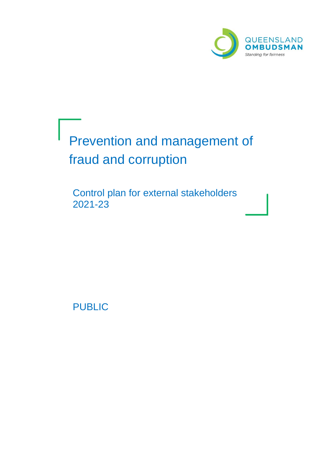

# Prevention and management of J fraud and corruption

Control plan for external stakeholders 2021-23

PUBLIC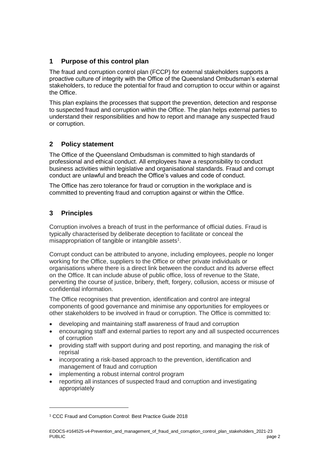# **1 Purpose of this control plan**

The fraud and corruption control plan (FCCP) for external stakeholders supports a proactive culture of integrity with the Office of the Queensland Ombudsman's external stakeholders, to reduce the potential for fraud and corruption to occur within or against the Office.

This plan explains the processes that support the prevention, detection and response to suspected fraud and corruption within the Office. The plan helps external parties to understand their responsibilities and how to report and manage any suspected fraud or corruption.

## **2 Policy statement**

The Office of the Queensland Ombudsman is committed to high standards of professional and ethical conduct. All employees have a responsibility to conduct business activities within legislative and organisational standards. Fraud and corrupt conduct are unlawful and breach the Office's values and code of conduct.

The Office has zero tolerance for fraud or corruption in the workplace and is committed to preventing fraud and corruption against or within the Office.

# **3 Principles**

 $\overline{a}$ 

Corruption involves a breach of trust in the performance of official duties. Fraud is typically characterised by deliberate deception to facilitate or conceal the misappropriation of tangible or intangible assets<sup>1</sup>.

Corrupt conduct can be attributed to anyone, including employees, people no longer working for the Office, suppliers to the Office or other private individuals or organisations where there is a direct link between the conduct and its adverse effect on the Office. It can include abuse of public office, loss of revenue to the State, perverting the course of justice, bribery, theft, forgery, collusion, access or misuse of confidential information.

The Office recognises that prevention, identification and control are integral components of good governance and minimise any opportunities for employees or other stakeholders to be involved in fraud or corruption. The Office is committed to:

- developing and maintaining staff awareness of fraud and corruption
- encouraging staff and external parties to report any and all suspected occurrences of corruption
- providing staff with support during and post reporting, and managing the risk of reprisal
- incorporating a risk-based approach to the prevention, identification and management of fraud and corruption
- implementing a robust internal control program
- reporting all instances of suspected fraud and corruption and investigating appropriately

<sup>1</sup> CCC Fraud and Corruption Control: Best Practice Guide 2018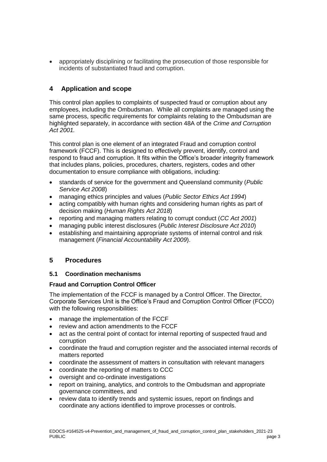• appropriately disciplining or facilitating the prosecution of those responsible for incidents of substantiated fraud and corruption.

## **4 Application and scope**

This control plan applies to complaints of suspected fraud or corruption about any employees, including the Ombudsman. While all complaints are managed using the same process, specific requirements for complaints relating to the Ombudsman are highlighted separately, in accordance with section 48A of the *Crime and Corruption Act 2001.*

This control plan is one element of an integrated Fraud and corruption control framework (FCCF). This is designed to effectively prevent, identify, control and respond to fraud and corruption. It fits within the Office's broader integrity framework that includes plans, policies, procedures, charters, registers, codes and other documentation to ensure compliance with obligations, including:

- standards of service for the government and Queensland community (*Public Service Act 2008*)
- managing ethics principles and values (*Public Sector Ethics Act 1994*)
- acting compatibly with human rights and considering human rights as part of decision making (*Human Rights Act 2018*)
- reporting and managing matters relating to corrupt conduct (*CC Act 2001*)
- managing public interest disclosures (*Public Interest Disclosure Act 2010*)
- establishing and maintaining appropriate systems of internal control and risk management (*Financial Accountability Act 2009*).

## **5 Procedures**

## **5.1 Coordination mechanisms**

## **Fraud and Corruption Control Officer**

The implementation of the FCCF is managed by a Control Officer. The Director, Corporate Services Unit is the Office's Fraud and Corruption Control Officer (FCCO) with the following responsibilities:

- manage the implementation of the FCCF
- review and action amendments to the FCCF
- act as the central point of contact for internal reporting of suspected fraud and corruption
- coordinate the fraud and corruption register and the associated internal records of matters reported
- coordinate the assessment of matters in consultation with relevant managers
- coordinate the reporting of matters to CCC
- oversight and co-ordinate investigations
- report on training, analytics, and controls to the Ombudsman and appropriate governance committees, and
- review data to identify trends and systemic issues, report on findings and coordinate any actions identified to improve processes or controls.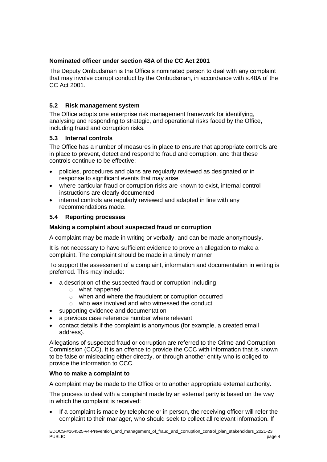## **Nominated officer under section 48A of the CC Act 2001**

The Deputy Ombudsman is the Office's nominated person to deal with any complaint that may involve corrupt conduct by the Ombudsman, in accordance with s.48A of the CC Act 2001.

## **5.2 Risk management system**

The Office adopts one enterprise risk management framework for identifying, analysing and responding to strategic, and operational risks faced by the Office, including fraud and corruption risks.

## **5.3 Internal controls**

The Office has a number of measures in place to ensure that appropriate controls are in place to prevent, detect and respond to fraud and corruption, and that these controls continue to be effective:

- policies, procedures and plans are regularly reviewed as designated or in response to significant events that may arise
- where particular fraud or corruption risks are known to exist, internal control instructions are clearly documented
- internal controls are regularly reviewed and adapted in line with any recommendations made.

## **5.4 Reporting processes**

## **Making a complaint about suspected fraud or corruption**

A complaint may be made in writing or verbally, and can be made anonymously.

It is not necessary to have sufficient evidence to prove an allegation to make a complaint. The complaint should be made in a timely manner.

To support the assessment of a complaint, information and documentation in writing is preferred. This may include:

- a description of the suspected fraud or corruption including:
	- o what happened
	- o when and where the fraudulent or corruption occurred
	- o who was involved and who witnessed the conduct
- supporting evidence and documentation
- a previous case reference number where relevant
- contact details if the complaint is anonymous (for example, a created email address).

Allegations of suspected fraud or corruption are referred to the Crime and Corruption Commission (CCC). It is an offence to provide the CCC with information that is known to be false or misleading either directly, or through another entity who is obliged to provide the information to CCC.

## **Who to make a complaint to**

A complaint may be made to the Office or to another appropriate external authority.

The process to deal with a complaint made by an external party is based on the way in which the complaint is received:

If a complaint is made by telephone or in person, the receiving officer will refer the complaint to their manager, who should seek to collect all relevant information. If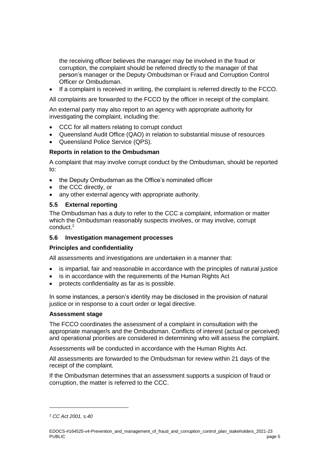the receiving officer believes the manager may be involved in the fraud or corruption, the complaint should be referred directly to the manager of that person's manager or the Deputy Ombudsman or Fraud and Corruption Control Officer or Ombudsman.

• If a complaint is received in writing, the complaint is referred directly to the FCCO.

All complaints are forwarded to the FCCO by the officer in receipt of the complaint.

An external party may also report to an agency with appropriate authority for investigating the complaint, including the:

- CCC for all matters relating to corrupt conduct
- Queensland Audit Office (QAO) in relation to substantial misuse of resources
- Queensland Police Service (QPS).

## **Reports in relation to the Ombudsman**

A complaint that may involve corrupt conduct by the Ombudsman, should be reported to:

- the Deputy Ombudsman as the Office's nominated officer
- the CCC directly, or
- any other external agency with appropriate authority.

## **5.5 External reporting**

The Ombudsman has a duty to refer to the CCC a complaint, information or matter which the Ombudsman reasonably suspects involves, or may involve, corrupt conduct. 2

## **5.6 Investigation management processes**

## **Principles and confidentiality**

All assessments and investigations are undertaken in a manner that:

- is impartial, fair and reasonable in accordance with the principles of natural justice
- is in accordance with the requirements of the Human Rights Act
- protects confidentiality as far as is possible.

In some instances, a person's identity may be disclosed in the provision of natural justice or in response to a court order or legal directive.

## **Assessment stage**

The FCCO coordinates the assessment of a complaint in consultation with the appropriate manager/s and the Ombudsman. Conflicts of interest (actual or perceived) and operational priorities are considered in determining who will assess the complaint.

Assessments will be conducted in accordance with the Human Rights Act.

All assessments are forwarded to the Ombudsman for review within 21 days of the receipt of the complaint.

If the Ombudsman determines that an assessment supports a suspicion of fraud or corruption, the matter is referred to the CCC.

 $\overline{a}$ 

<sup>2</sup> *CC Act 2001, s.40*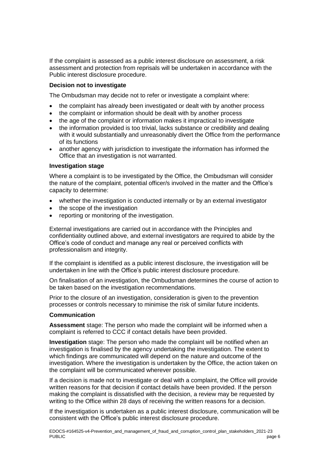If the complaint is assessed as a public interest disclosure on assessment, a risk assessment and protection from reprisals will be undertaken in accordance with the Public interest disclosure procedure.

## **Decision not to investigate**

The Ombudsman may decide not to refer or investigate a complaint where:

- the complaint has already been investigated or dealt with by another process
- the complaint or information should be dealt with by another process
- the age of the complaint or information makes it impractical to investigate
- the information provided is too trivial, lacks substance or credibility and dealing with it would substantially and unreasonably divert the Office from the performance of its functions
- another agency with jurisdiction to investigate the information has informed the Office that an investigation is not warranted.

#### **Investigation stage**

Where a complaint is to be investigated by the Office, the Ombudsman will consider the nature of the complaint, potential officer/s involved in the matter and the Office's capacity to determine:

- whether the investigation is conducted internally or by an external investigator
- the scope of the investigation
- reporting or monitoring of the investigation.

External investigations are carried out in accordance with the Principles and confidentiality outlined above, and external investigators are required to abide by the Office's code of conduct and manage any real or perceived conflicts with professionalism and integrity.

If the complaint is identified as a public interest disclosure, the investigation will be undertaken in line with the Office's public interest disclosure procedure.

On finalisation of an investigation, the Ombudsman determines the course of action to be taken based on the investigation recommendations.

Prior to the closure of an investigation, consideration is given to the prevention processes or controls necessary to minimise the risk of similar future incidents.

#### **Communication**

**Assessment** stage: The person who made the complaint will be informed when a complaint is referred to CCC if contact details have been provided.

**Investigation** stage: The person who made the complaint will be notified when an investigation is finalised by the agency undertaking the investigation. The extent to which findings are communicated will depend on the nature and outcome of the investigation. Where the investigation is undertaken by the Office, the action taken on the complaint will be communicated wherever possible.

If a decision is made not to investigate or deal with a complaint, the Office will provide written reasons for that decision if contact details have been provided. If the person making the complaint is dissatisfied with the decision, a review may be requested by writing to the Office within 28 days of receiving the written reasons for a decision.

If the investigation is undertaken as a public interest disclosure, communication will be consistent with the Office's public interest disclosure procedure.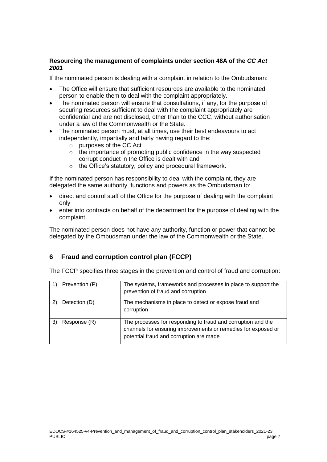## **Resourcing the management of complaints under section 48A of the** *CC Act 2001*

If the nominated person is dealing with a complaint in relation to the Ombudsman:

- The Office will ensure that sufficient resources are available to the nominated person to enable them to deal with the complaint appropriately.
- The nominated person will ensure that consultations, if any, for the purpose of securing resources sufficient to deal with the complaint appropriately are confidential and are not disclosed, other than to the CCC, without authorisation under a law of the Commonwealth or the State.
- The nominated person must, at all times, use their best endeavours to act independently, impartially and fairly having regard to the:
	- o purposes of the CC Act
	- o the importance of promoting public confidence in the way suspected corrupt conduct in the Office is dealt with and
	- o the Office's statutory, policy and procedural framework.

If the nominated person has responsibility to deal with the complaint, they are delegated the same authority, functions and powers as the Ombudsman to:

- direct and control staff of the Office for the purpose of dealing with the complaint only
- enter into contracts on behalf of the department for the purpose of dealing with the complaint.

The nominated person does not have any authority, function or power that cannot be delegated by the Ombudsman under the law of the Commonwealth or the State.

# **6 Fraud and corruption control plan (FCCP)**

The FCCP specifies three stages in the prevention and control of fraud and corruption:

| Prevention (P) | The systems, frameworks and processes in place to support the<br>prevention of fraud and corruption                                                                      |  |  |  |
|----------------|--------------------------------------------------------------------------------------------------------------------------------------------------------------------------|--|--|--|
| Detection (D)  | The mechanisms in place to detect or expose fraud and<br>corruption                                                                                                      |  |  |  |
| Response (R)   | The processes for responding to fraud and corruption and the<br>channels for ensuring improvements or remedies for exposed or<br>potential fraud and corruption are made |  |  |  |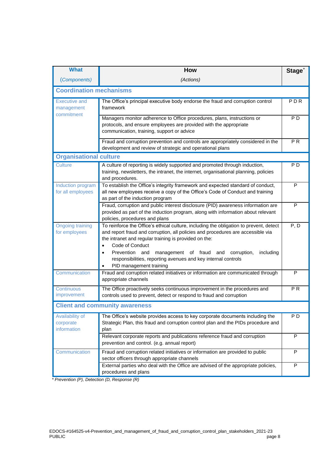| <b>What</b>                                      | <b>How</b>                                                                                                                                                                                                                                                                                                                                                                                                                    | Stage <sup>*</sup> |  |  |  |
|--------------------------------------------------|-------------------------------------------------------------------------------------------------------------------------------------------------------------------------------------------------------------------------------------------------------------------------------------------------------------------------------------------------------------------------------------------------------------------------------|--------------------|--|--|--|
| (Components)                                     | (Actions)                                                                                                                                                                                                                                                                                                                                                                                                                     |                    |  |  |  |
| <b>Coordination mechanisms</b>                   |                                                                                                                                                                                                                                                                                                                                                                                                                               |                    |  |  |  |
| <b>Executive and</b><br>management<br>commitment | The Office's principal executive body endorse the fraud and corruption control<br>framework                                                                                                                                                                                                                                                                                                                                   | PDR                |  |  |  |
|                                                  | Managers monitor adherence to Office procedures, plans, instructions or<br>protocols, and ensure employees are provided with the appropriate<br>communication, training, support or advice                                                                                                                                                                                                                                    | P <sub>D</sub>     |  |  |  |
|                                                  | Fraud and corruption prevention and controls are appropriately considered in the<br>development and review of strategic and operational plans                                                                                                                                                                                                                                                                                 | $\overline{PR}$    |  |  |  |
|                                                  | <b>Organisational culture</b>                                                                                                                                                                                                                                                                                                                                                                                                 |                    |  |  |  |
| <b>Culture</b>                                   | A culture of reporting is widely supported and promoted through induction,<br>training, newsletters, the intranet, the internet, organisational planning, policies<br>and procedures.                                                                                                                                                                                                                                         | P <sub>D</sub>     |  |  |  |
| Induction program<br>for all employees           | To establish the Office's integrity framework and expected standard of conduct,<br>all new employees receive a copy of the Office's Code of Conduct and training<br>as part of the induction program                                                                                                                                                                                                                          | P                  |  |  |  |
|                                                  | Fraud, corruption and public interest disclosure (PID) awareness information are<br>provided as part of the induction program, along with information about relevant<br>policies, procedures and plans                                                                                                                                                                                                                        | P                  |  |  |  |
| <b>Ongoing training</b><br>for employees         | To reinforce the Office's ethical culture, including the obligation to prevent, detect<br>and report fraud and corruption, all policies and procedures are accessible via<br>the intranet and regular training is provided on the:<br>Code of Conduct<br>Prevention and<br>management of fraud<br>corruption,<br>including<br>and<br>responsibilities, reporting avenues and key internal controls<br>PID management training | P, D               |  |  |  |
| Communication                                    | Fraud and corruption related initiatives or information are communicated through<br>appropriate channels                                                                                                                                                                                                                                                                                                                      | $\mathsf{P}$       |  |  |  |
| Continuous<br>improvement                        | The Office proactively seeks continuous improvement in the procedures and<br>controls used to prevent, detect or respond to fraud and corruption                                                                                                                                                                                                                                                                              | PR                 |  |  |  |
| <b>Client and community awareness</b>            |                                                                                                                                                                                                                                                                                                                                                                                                                               |                    |  |  |  |
| Availability of<br>corporate<br>information      | The Office's website provides access to key corporate documents including the<br>Strategic Plan, this fraud and corruption control plan and the PIDs procedure and<br>plan                                                                                                                                                                                                                                                    | P <sub>D</sub>     |  |  |  |
|                                                  | Relevant corporate reports and publications reference fraud and corruption<br>prevention and control. (e.g. annual report)                                                                                                                                                                                                                                                                                                    | P                  |  |  |  |
| Communication                                    | Fraud and corruption related initiatives or information are provided to public<br>sector officers through appropriate channels                                                                                                                                                                                                                                                                                                | P                  |  |  |  |
|                                                  | External parties who deal with the Office are advised of the appropriate policies,<br>procedures and plans                                                                                                                                                                                                                                                                                                                    | P                  |  |  |  |

 *\* Prevention (P), Detection (D, Response (R)*